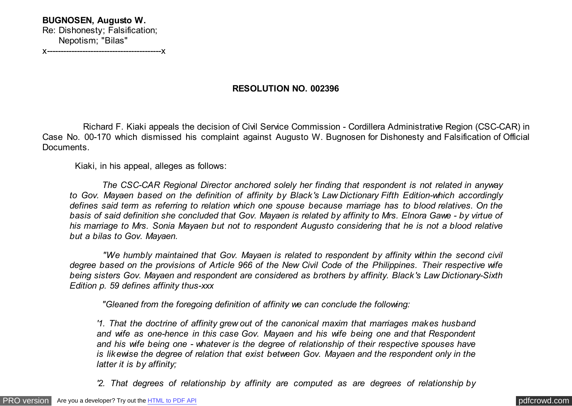**BUGNOSEN, Augusto W.** Re: Dishonesty; Falsification; Nepotism; "Bilas" x------------------------------------------x

# **RESOLUTION NO. 002396**

 Richard F. Kiaki appeals the decision of Civil Service Commission - Cordillera Administrative Region (CSC-CAR) in Case No. 00-170 which dismissed his complaint against Augusto W. Bugnosen for Dishonesty and Falsification of Official Documents.

Kiaki, in his appeal, alleges as follows:

 *The CSC-CAR Regional Director anchored solely her finding that respondent is not related in anyway to Gov. Mayaen based on the definition of affinity by Black's Law Dictionary Fifth Edition-which accordingly defines said term as referring to relation which one spouse because marriage has to blood relatives. On the basis of said definition she concluded that Gov. Mayaen is related by affinity to Mrs. Elnora Gawe - by virtue of his marriage to Mrs. Sonia Mayaen but not to respondent Augusto considering that he is not a blood relative but a bilas to Gov. Mayaen.*

 *"We humbly maintained that Gov. Mayaen is related to respondent by affinity within the second civil degree based on the provisions of Article 966 of the New Civil Code of the Philippines. Their respective wife being sisters Gov. Mayaen and respondent are considered as brothers by affinity. Black's Law Dictionary-Sixth Edition p. 59 defines affinity thus-xxx*

 *"Gleaned from the foregoing definition of affinity we can conclude the following:*

*'1. That the doctrine of affinity grew out of the canonical maxim that marriages makes husband and wife as one-hence in this case Gov. Mayaen and his wife being one and that Respondent and his wife being one - whatever is the degree of relationship of their respective spouses have is likewise the degree of relation that exist between Gov. Mayaen and the respondent only in the latter it is by affinity;*

*'2. That degrees of relationship by affinity are computed as are degrees of relationship by*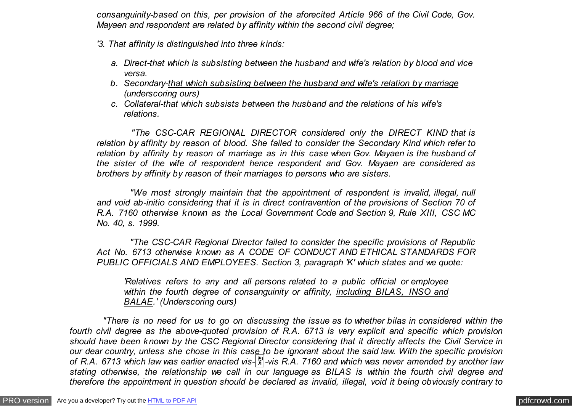*consanguinity-based on this, per provision of the aforecited Article 966 of the Civil Code, Gov. Mayaen and respondent are related by affinity within the second civil degree;*

- *'3. That affinity is distinguished into three kinds:*
	- *a. Direct-that which is subsisting between the husband and wife's relation by blood and vice versa.*
	- *b. Secondary-that which subsisting between the husband and wife's relation by marriage (underscoring ours)*
	- *c. Collateral-that which subsists between the husband and the relations of his wife's relations.*

 *"The CSC-CAR REGIONAL DIRECTOR considered only the DIRECT KIND that is relation by affinity by reason of blood. She failed to consider the Secondary Kind which refer to relation by affinity by reason of marriage as in this case when Gov. Mayaen is the husband of the sister of the wife of respondent hence respondent and Gov. Mayaen are considered as brothers by affinity by reason of their marriages to persons who are sisters.*

 *"We most strongly maintain that the appointment of respondent is invalid, illegal, null and void ab-initio considering that it is in direct contravention of the provisions of Section 70 of R.A. 7160 otherwise known as the Local Government Code and Section 9, Rule XIII, CSC MC No. 40, s. 1999.*

 *"The CSC-CAR Regional Director failed to consider the specific provisions of Republic Act No. 6713 otherwise known as A CODE OF CONDUCT AND ETHICAL STANDARDS FOR PUBLIC OFFICIALS AND EMPLOYEES. Section 3, paragraph 'K' which states and we quote:*

*'Relatives refers to any and all persons related to a public official or employee within the fourth degree of consanguinity or affinity, including BILAS, INSO and BALAE.' (Underscoring ours)*

 *"There is no need for us to go on discussing the issue as to whether bilas in considered within the fourth civil degree as the above-quoted provision of R.A. 6713 is very explicit and specific which provision should have been known by the CSC Regional Director considering that it directly affects the Civil Service in our dear country, unless she chose in this case to be ignorant about the said law. With the specific provision of R.A. 6713 which law was earlier enacted vis-*�*-vis R.A. 7160 and which was never amended by another law stating otherwise, the relationship we call in our language as BILAS is within the fourth civil degree and therefore the appointment in question should be declared as invalid, illegal, void it being obviously contrary to*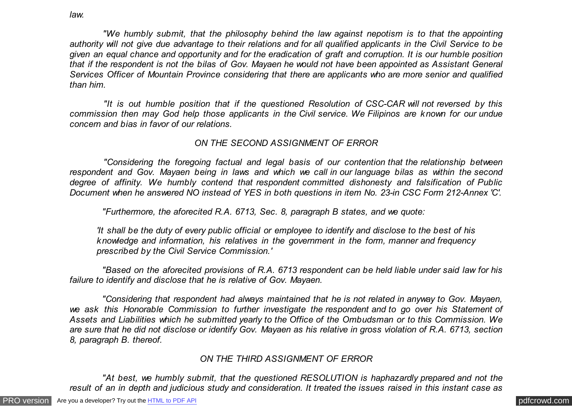*"We humbly submit, that the philosophy behind the law against nepotism is to that the appointing authority will not give due advantage to their relations and for all qualified applicants in the Civil Service to be given an equal chance and opportunity and for the eradication of graft and corruption. It is our humble position that if the respondent is not the bilas of Gov. Mayaen he would not have been appointed as Assistant General Services Officer of Mountain Province considering that there are applicants who are more senior and qualified than him.*

 *"It is out humble position that if the questioned Resolution of CSC-CAR will not reversed by this commission then may God help those applicants in the Civil service. We Filipinos are known for our undue concern and bias in favor of our relations.*

## *ON THE SECOND ASSIGNMENT OF ERROR*

 *"Considering the foregoing factual and legal basis of our contention that the relationship between respondent and Gov. Mayaen being in laws and which we call in our language bilas as within the second degree of affinity. We humbly contend that respondent committed dishonesty and falsification of Public Document when he answered NO instead of YES in both questions in item No. 23-in CSC Form 212-Annex 'C'.*

 *"Furthermore, the aforecited R.A. 6713, Sec. 8, paragraph B states, and we quote:*

*'It shall be the duty of every public official or employee to identify and disclose to the best of his knowledge and information, his relatives in the government in the form, manner and frequency prescribed by the Civil Service Commission.'*

 *"Based on the aforecited provisions of R.A. 6713 respondent can be held liable under said law for his failure to identify and disclose that he is relative of Gov. Mayaen.*

 *"Considering that respondent had always maintained that he is not related in anyway to Gov. Mayaen, we ask this Honorable Commission to further investigate the respondent and to go over his Statement of Assets and Liabilities which he submitted yearly to the Office of the Ombudsman or to this Commission. We are sure that he did not disclose or identify Gov. Mayaen as his relative in gross violation of R.A. 6713, section 8, paragraph B. thereof.*

# *ON THE THIRD ASSIGNMENT OF ERROR*

 *"At best, we humbly submit, that the questioned RESOLUTION is haphazardly prepared and not the result of an in depth and judicious study and consideration. It treated the issues raised in this instant case as*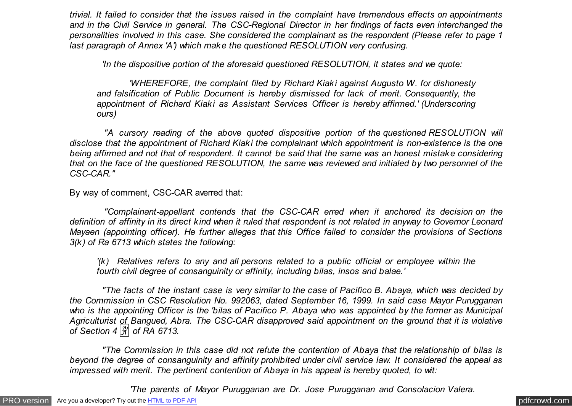*trivial. It failed to consider that the issues raised in the complaint have tremendous effects on appointments and in the Civil Service in general. The CSC-Regional Director in her findings of facts even interchanged the personalities involved in this case. She considered the complainant as the respondent (Please refer to page 1 last paragraph of Annex 'A') which make the questioned RESOLUTION very confusing.*

 *'In the dispositive portion of the aforesaid questioned RESOLUTION, it states and we quote:*

 *'WHEREFORE, the complaint filed by Richard Kiaki against Augusto W. for dishonesty and falsification of Public Document is hereby dismissed for lack of merit. Consequently, the appointment of Richard Kiaki as Assistant Services Officer is hereby affirmed.' (Underscoring ours)*

 *"A cursory reading of the above quoted dispositive portion of the questioned RESOLUTION will disclose that the appointment of Richard Kiaki the complainant which appointment is non-existence is the one being affirmed and not that of respondent. It cannot be said that the same was an honest mistake considering that on the face of the questioned RESOLUTION, the same was reviewed and initialed by two personnel of the CSC-CAR."*

By way of comment, CSC-CAR averred that:

 *"Complainant-appellant contends that the CSC-CAR erred when it anchored its decision on the definition of affinity in its direct kind when it ruled that respondent is not related in anyway to Governor Leonard Mayaen (appointing officer). He further alleges that this Office failed to consider the provisions of Sections 3(k) of Ra 6713 which states the following:*

*'(k) Relatives refers to any and all persons related to a public official or employee within the fourth civil degree of consanguinity or affinity, including bilas, insos and balae.'*

 *"The facts of the instant case is very similar to the case of Pacifico B. Abaya, which was decided by the Commission in CSC Resolution No. 992063, dated September 16, 1999. In said case Mayor Purugganan who is the appointing Officer is the 'bilas of Pacifico P. Abaya who was appointed by the former as Municipal Agriculturist of Bangued, Abra. The CSC-CAR disapproved said appointment on the ground that it is violative of Section 4* � *of RA 6713.*

 *"The Commission in this case did not refute the contention of Abaya that the relationship of bilas is beyond the degree of consanguinity and affinity prohibited under civil service law. It considered the appeal as impressed with merit. The pertinent contention of Abaya in his appeal is hereby quoted, to wit:*

 *'The parents of Mayor Purugganan are Dr. Jose Purugganan and Consolacion Valera.*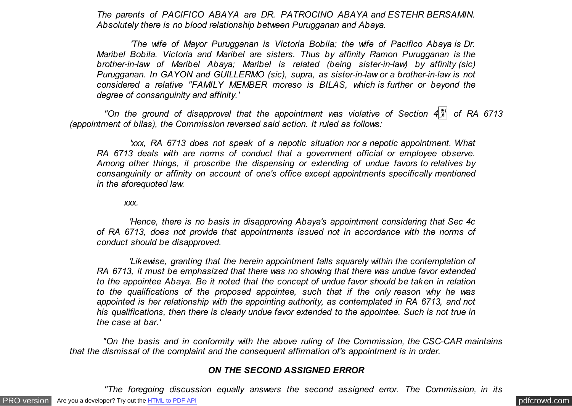*The parents of PACIFICO ABAYA are DR. PATROCINO ABAYA and ESTEHR BERSAMIN. Absolutely there is no blood relationship between Purugganan and Abaya.*

 *'The wife of Mayor Purugganan is Victoria Bobila; the wife of Pacifico Abaya is Dr. Maribel Bobila. Victoria and Maribel are sisters. Thus by affinity Ramon Purugganan is the brother-in-law of Maribel Abaya; Maribel is related (being sister-in-law) by affinity (sic) Purugganan. In GAYON and GUILLERMO (sic), supra, as sister-in-law or a brother-in-law is not considered a relative "FAMILY MEMBER moreso is BILAS, which is further or beyond the degree of consanguinity and affinity.'*

"On the ground of disapproval that the appointment was violative of Section 4 $\frac{19}{11}$  of RA 6713 *(appointment of bilas), the Commission reversed said action. It ruled as follows:*

 *'xxx, RA 6713 does not speak of a nepotic situation nor a nepotic appointment. What RA 6713 deals with are norms of conduct that a government official or employee observe. Among other things, it proscribe the dispensing or extending of undue favors to relatives by consanguinity or affinity on account of one's office except appointments specifically mentioned in the aforequoted law.*

*xxx.*

 *'Hence, there is no basis in disapproving Abaya's appointment considering that Sec 4c of RA 6713, does not provide that appointments issued not in accordance with the norms of conduct should be disapproved.*

 *'Likewise, granting that the herein appointment falls squarely within the contemplation of RA 6713, it must be emphasized that there was no showing that there was undue favor extended to the appointee Abaya. Be it noted that the concept of undue favor should be taken in relation to the qualifications of the proposed appointee, such that if the only reason why he was appointed is her relationship with the appointing authority, as contemplated in RA 6713, and not his qualifications, then there is clearly undue favor extended to the appointee. Such is not true in the case at bar.'*

 *"On the basis and in conformity with the above ruling of the Commission, the CSC-CAR maintains that the dismissal of the complaint and the consequent affirmation of's appointment is in order.*

#### *ON THE SECOND ASSIGNED ERROR*

 *"The foregoing discussion equally answers the second assigned error. The Commission, in its*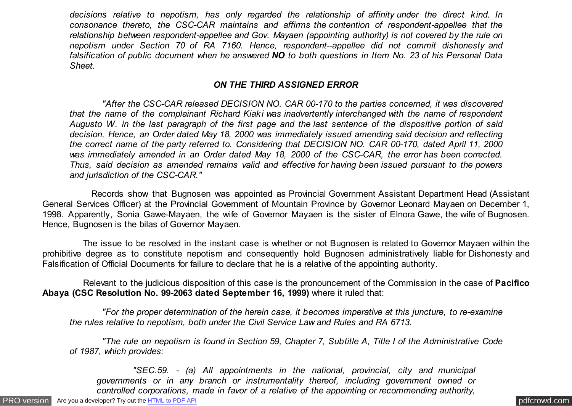*decisions relative to nepotism, has only regarded the relationship of affinity under the direct kind. In consonance thereto, the CSC-CAR maintains and affirms the contention of respondent-appellee that the relationship between respondent-appellee and Gov. Mayaen (appointing authority) is not covered by the rule on nepotism under Section 70 of RA 7160. Hence, respondent--appellee did not commit dishonesty and falsification of public document when he answered NO to both questions in Item No. 23 of his Personal Data Sheet.*

## *ON THE THIRD ASSIGNED ERROR*

 *"After the CSC-CAR released DECISION NO. CAR 00-170 to the parties concerned, it was discovered that the name of the complainant Richard Kiaki was inadvertently interchanged with the name of respondent Augusto W. in the last paragraph of the first page and the last sentence of the dispositive portion of said decision. Hence, an Order dated May 18, 2000 was immediately issued amending said decision and reflecting the correct name of the party referred to. Considering that DECISION NO. CAR 00-170, dated April 11, 2000 was immediately amended in an Order dated May 18, 2000 of the CSC-CAR, the error has been corrected. Thus, said decision as amended remains valid and effective for having been issued pursuant to the powers and jurisdiction of the CSC-CAR."*

 Records show that Bugnosen was appointed as Provincial Government Assistant Department Head (Assistant General Services Officer) at the Provincial Government of Mountain Province by Governor Leonard Mayaen on December 1, 1998. Apparently, Sonia Gawe-Mayaen, the wife of Governor Mayaen is the sister of Elnora Gawe, the wife of Bugnosen. Hence, Bugnosen is the bilas of Governor Mayaen.

 The issue to be resolved in the instant case is whether or not Bugnosen is related to Governor Mayaen within the prohibitive degree as to constitute nepotism and consequently hold Bugnosen administratively liable for Dishonesty and Falsification of Official Documents for failure to declare that he is a relative of the appointing authority.

 Relevant to the judicious disposition of this case is the pronouncement of the Commission in the case of **Pacifico Abaya (CSC Resolution No. 99-2063 dated September 16, 1999)** where it ruled that:

 *"For the proper determination of the herein case, it becomes imperative at this juncture, to re-examine the rules relative to nepotism, both under the Civil Service Law and Rules and RA 6713.*

 *"The rule on nepotism is found in Section 59, Chapter 7, Subtitle A, Title I of the Administrative Code of 1987, which provides:*

 *"SEC.59. - (a) All appointments in the national, provincial, city and municipal governments or in any branch or instrumentality thereof, including government owned or controlled corporations, made in favor of a relative of the appointing or recommending authority,*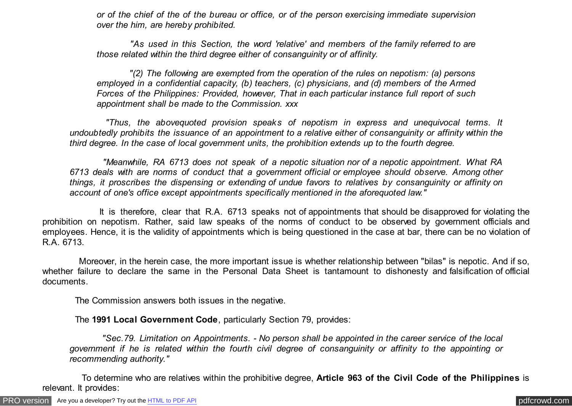*or of the chief of the of the bureau or office, or of the person exercising immediate supervision over the him, are hereby prohibited.*

 *"As used in this Section, the word 'relative' and members of the family referred to are those related within the third degree either of consanguinity or of affinity.*

 *"(2) The following are exempted from the operation of the rules on nepotism: (a) persons employed in a confidential capacity, (b) teachers, (c) physicians, and (d) members of the Armed Forces of the Philippines: Provided, however, That in each particular instance full report of such appointment shall be made to the Commission. xxx*

 *"Thus, the abovequoted provision speaks of nepotism in express and unequivocal terms. It undoubtedly prohibits the issuance of an appointment to a relative either of consanguinity or affinity within the third degree. In the case of local government units, the prohibition extends up to the fourth degree.*

 *"Meanwhile, RA 6713 does not speak of a nepotic situation nor of a nepotic appointment. What RA 6713 deals with are norms of conduct that a government official or employee should observe. Among other things, it proscribes the dispensing or extending of undue favors to relatives by consanguinity or affinity on account of one's office except appointments specifically mentioned in the aforequoted law."*

 It is therefore, clear that R.A. 6713 speaks not of appointments that should be disapproved for violating the prohibition on nepotism. Rather, said law speaks of the norms of conduct to be observed by government officials and employees. Hence, it is the validity of appointments which is being questioned in the case at bar, there can be no violation of R.A. 6713.

 Moreover, in the herein case, the more important issue is whether relationship between "bilas" is nepotic. And if so, whether failure to declare the same in the Personal Data Sheet is tantamount to dishonesty and falsification of official documents.

The Commission answers both issues in the negative.

The **1991 Local Government Code**, particularly Section 79, provides:

 *"Sec.79. Limitation on Appointments. - No person shall be appointed in the career service of the local government if he is related within the fourth civil degree of consanguinity or affinity to the appointing or recommending authority."*

 To determine who are relatives within the prohibitive degree, **Article 963 of the Civil Code of the Philippines** is relevant. It provides: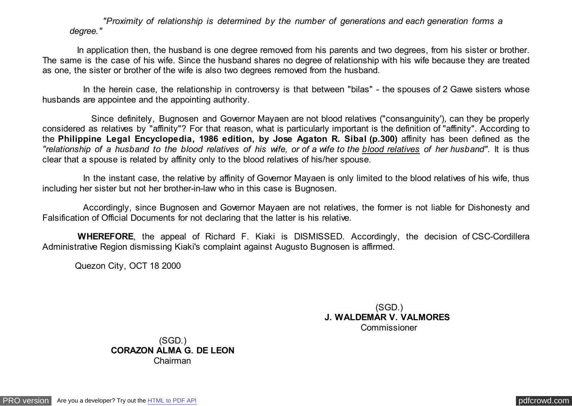*"Proximity of relationship is determined by the number of generations and each generation forms a degree."*

 In application then, the husband is one degree removed from his parents and two degrees, from his sister or brother. The same is the case of his wife. Since the husband shares no degree of relationship with his wife because they are treated as one, the sister or brother of the wife is also two degrees removed from the husband.

In the herein case, the relationship in controversy is that between "bilas" - the spouses of 2 Gawe sisters whose husbands are appointee and the appointing authority.

 Since definitely, Bugnosen and Governor Mayaen are not blood relatives ("consanguinity'), can they be properly considered as relatives by "affinity"? For that reason, what is particularly important is the definition of "affinity". According to the **Philippine Legal Encyclopedia, 1986 edition, by Jose Agaton R. Sibal (p.300)** affinity has been defined as the *"relationship of a husband to the blood relatives of his wife, or of a wife to the blood relatives of her husband".* It is thus clear that a spouse is related by affinity only to the blood relatives of his/her spouse.

 In the instant case, the relative by affinity of Governor Mayaen is only limited to the blood relatives of his wife, thus including her sister but not her brother-in-law who in this case is Bugnosen.

 Accordingly, since Bugnosen and Governor Mayaen are not relatives, the former is not liable for Dishonesty and Falsification of Official Documents for not declaring that the latter is his relative.

 **WHEREFORE**, the appeal of Richard F. Kiaki is DISMISSED. Accordingly, the decision of CSC-Cordillera Administrative Region dismissing Kiaki's complaint against Augusto Bugnosen is affirmed.

Quezon City, OCT 18 2000

(SGD.) **J. WALDEMAR V. VALMORES**  Commissioner

(SGD.) **CORAZON ALMA G. DE LEON** Chairman

[PRO version](http://pdfcrowd.com/customize/) Are you a developer? Try out th[e HTML to PDF API](http://pdfcrowd.com/html-to-pdf-api/?ref=pdf) provided and the example of the HTML to PDF API [pdfcrowd.com](http://pdfcrowd.com)